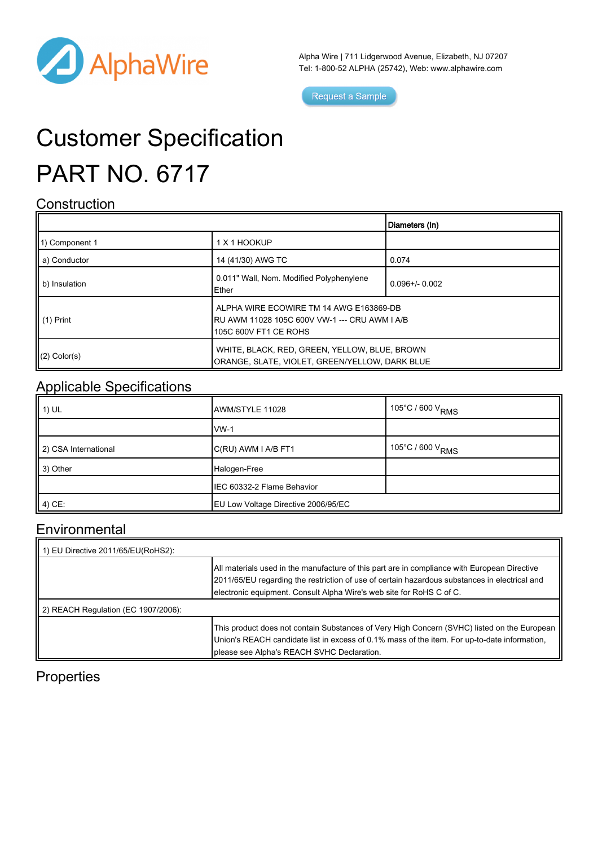

Alpha Wire | 711 Lidgerwood Avenue, Elizabeth, NJ 07207 Tel: 1-800-52 ALPHA (25742), Web: [www.alphawire.com](http://www.alphawire.com)

Request a Sample

# Customer Specification PART NO. 6717

#### **Construction**

|                 |                                                                                                                   | Diameters (In)      |
|-----------------|-------------------------------------------------------------------------------------------------------------------|---------------------|
| 11) Component 1 | 1 X 1 HOOKUP                                                                                                      |                     |
| a) Conductor    | 14 (41/30) AWG TC                                                                                                 | 0.074               |
| b) Insulation   | 0.011" Wall, Nom. Modified Polyphenylene<br>Ether                                                                 | $0.096 + / - 0.002$ |
| II (1) Print    | ALPHA WIRE ECOWIRE TM 14 AWG E163869-DB<br>RU AWM 11028 105C 600V VW-1 --- CRU AWM I A/B<br>105C 600V FT1 CE ROHS |                     |
| $(2)$ Color(s)  | WHITE, BLACK, RED, GREEN, YELLOW, BLUE, BROWN<br>ORANGE, SLATE, VIOLET, GREEN/YELLOW, DARK BLUE                   |                     |

### Applicable Specifications

| $\parallel$ 1) UL    | AWM/STYLE 11028                     | $\sim$ 105°C / 600 V <sub>RMS</sub> |
|----------------------|-------------------------------------|-------------------------------------|
|                      | $vw-1$                              |                                     |
| 2) CSA International | C(RU) AWM I A/B FT1                 | $\cdot$ 105°C / 600 V $_{\rm RMS}$  |
| $\parallel$ 3) Other | Halogen-Free                        |                                     |
|                      | IEC 60332-2 Flame Behavior          |                                     |
| $(4)$ CE:            | EU Low Voltage Directive 2006/95/EC |                                     |

#### Environmental

| 1) EU Directive 2011/65/EU(RoHS2):  |                                                                                                                                                                                                                                                                       |
|-------------------------------------|-----------------------------------------------------------------------------------------------------------------------------------------------------------------------------------------------------------------------------------------------------------------------|
|                                     | All materials used in the manufacture of this part are in compliance with European Directive<br>2011/65/EU regarding the restriction of use of certain hazardous substances in electrical and<br>electronic equipment. Consult Alpha Wire's web site for RoHS C of C. |
| 2) REACH Regulation (EC 1907/2006): |                                                                                                                                                                                                                                                                       |
|                                     | This product does not contain Substances of Very High Concern (SVHC) listed on the European<br>Union's REACH candidate list in excess of 0.1% mass of the item. For up-to-date information,<br>please see Alpha's REACH SVHC Declaration.                             |

### **Properties**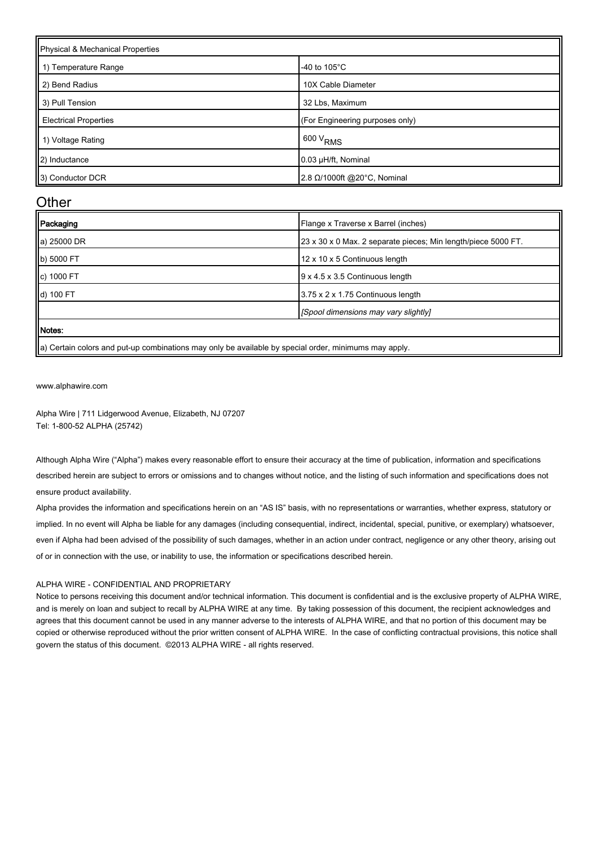| Physical & Mechanical Properties |                                 |  |
|----------------------------------|---------------------------------|--|
| 1) Temperature Range             | -40 to $105^{\circ}$ C          |  |
| 2) Bend Radius                   | 10X Cable Diameter              |  |
| 3) Pull Tension                  | 32 Lbs, Maximum                 |  |
| <b>Electrical Properties</b>     | (For Engineering purposes only) |  |
| 1) Voltage Rating                | $600 V_{RMS}$                   |  |
| (2) Inductance                   | 0.03 µH/ft, Nominal             |  |
| 3) Conductor DCR                 | 2.8 Ω/1000ft @20°C, Nominal     |  |

#### **Other**

| Packaging   | Flange x Traverse x Barrel (inches)                           |
|-------------|---------------------------------------------------------------|
| a) 25000 DR | 23 x 30 x 0 Max. 2 separate pieces; Min length/piece 5000 FT. |
| b) 5000 FT  | 12 x 10 x 5 Continuous length                                 |
| c) 1000 FT  | 9 x 4.5 x 3.5 Continuous length                               |
| d) 100 FT   | 3.75 x 2 x 1.75 Continuous length                             |
|             | [Spool dimensions may vary slightly]                          |
| Notes:      |                                                               |
|             |                                                               |

a) Certain colors and put-up combinations may only be available by special order, minimums may apply.

[www.alphawire.com](http://www.alphawire.com)

Alpha Wire | 711 Lidgerwood Avenue, Elizabeth, NJ 07207 Tel: 1-800-52 ALPHA (25742)

Although Alpha Wire ("Alpha") makes every reasonable effort to ensure their accuracy at the time of publication, information and specifications described herein are subject to errors or omissions and to changes without notice, and the listing of such information and specifications does not ensure product availability.

Alpha provides the information and specifications herein on an "AS IS" basis, with no representations or warranties, whether express, statutory or implied. In no event will Alpha be liable for any damages (including consequential, indirect, incidental, special, punitive, or exemplary) whatsoever, even if Alpha had been advised of the possibility of such damages, whether in an action under contract, negligence or any other theory, arising out of or in connection with the use, or inability to use, the information or specifications described herein.

#### ALPHA WIRE - CONFIDENTIAL AND PROPRIETARY

Notice to persons receiving this document and/or technical information. This document is confidential and is the exclusive property of ALPHA WIRE, and is merely on loan and subject to recall by ALPHA WIRE at any time. By taking possession of this document, the recipient acknowledges and agrees that this document cannot be used in any manner adverse to the interests of ALPHA WIRE, and that no portion of this document may be copied or otherwise reproduced without the prior written consent of ALPHA WIRE. In the case of conflicting contractual provisions, this notice shall govern the status of this document. ©2013 ALPHA WIRE - all rights reserved.